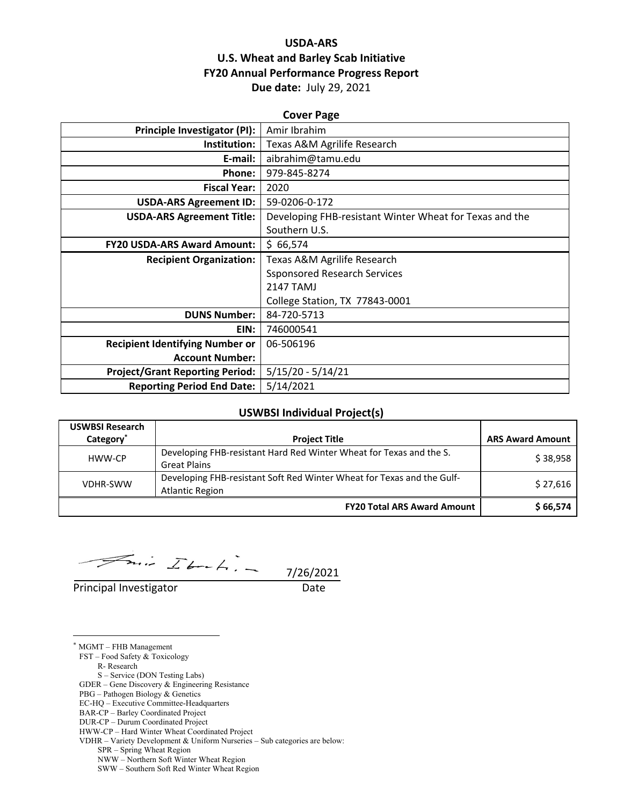## **USDA‐ARS U.S. Wheat and Barley Scab Initiative FY20 Annual Performance Progress Report Due date:** July 29, 2021

| <b>Cover Page</b>                      |                                                         |  |  |  |
|----------------------------------------|---------------------------------------------------------|--|--|--|
| Principle Investigator (PI):           | Amir Ibrahim                                            |  |  |  |
| Institution:                           | Texas A&M Agrilife Research                             |  |  |  |
| E-mail:                                | aibrahim@tamu.edu                                       |  |  |  |
| Phone:                                 | 979-845-8274                                            |  |  |  |
| <b>Fiscal Year:</b>                    | 2020                                                    |  |  |  |
| <b>USDA-ARS Agreement ID:</b>          | 59-0206-0-172                                           |  |  |  |
| <b>USDA-ARS Agreement Title:</b>       | Developing FHB-resistant Winter Wheat for Texas and the |  |  |  |
|                                        | Southern U.S.                                           |  |  |  |
| <b>FY20 USDA-ARS Award Amount:</b>     | \$66,574                                                |  |  |  |
|                                        |                                                         |  |  |  |
| <b>Recipient Organization:</b>         | Texas A&M Agrilife Research                             |  |  |  |
|                                        | <b>Ssponsored Research Services</b>                     |  |  |  |
|                                        | <b>2147 TAMJ</b>                                        |  |  |  |
|                                        | College Station, TX 77843-0001                          |  |  |  |
| <b>DUNS Number:</b>                    | 84-720-5713                                             |  |  |  |
| EIN:                                   | 746000541                                               |  |  |  |
| <b>Recipient Identifying Number or</b> | 06-506196                                               |  |  |  |
| <b>Account Number:</b>                 |                                                         |  |  |  |
| <b>Project/Grant Reporting Period:</b> | $5/15/20 - 5/14/21$                                     |  |  |  |

#### **USWBSI Individual Project(s)**

| <b>USWBSI Research</b> |                                                                                                  |                         |
|------------------------|--------------------------------------------------------------------------------------------------|-------------------------|
| Category <sup>*</sup>  | <b>Project Title</b>                                                                             | <b>ARS Award Amount</b> |
| HWW-CP                 | Developing FHB-resistant Hard Red Winter Wheat for Texas and the S.<br><b>Great Plains</b>       | \$38,958                |
| <b>VDHR-SWW</b>        | Developing FHB-resistant Soft Red Winter Wheat for Texas and the Gulf-<br><b>Atlantic Region</b> | \$27,616                |
|                        | <b>FY20 Total ARS Award Amount</b>                                                               | \$66,574                |

 $7/26/2021$ 

Principal Investigator Date

<u>.</u>

\* MGMT – FHB Management FST – Food Safety & Toxicology R- Research

 S – Service (DON Testing Labs) GDER – Gene Discovery & Engineering Resistance

PBG – Pathogen Biology & Genetics

EC-HQ – Executive Committee-Headquarters

BAR-CP – Barley Coordinated Project

DUR-CP – Durum Coordinated Project

HWW-CP – Hard Winter Wheat Coordinated Project

VDHR – Variety Development & Uniform Nurseries – Sub categories are below:

SPR – Spring Wheat Region

NWW – Northern Soft Winter Wheat Region

SWW – Southern Soft Red Winter Wheat Region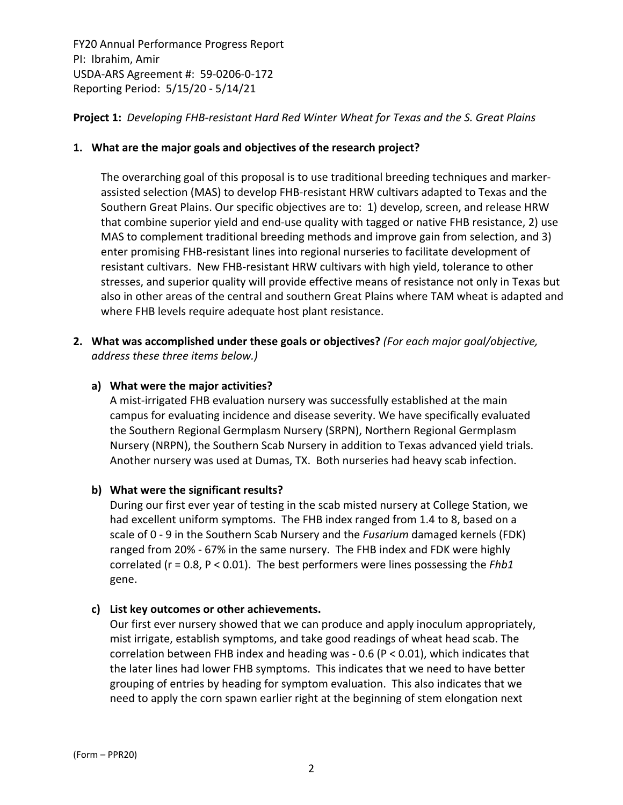## **Project 1:** *Developing FHB‐resistant Hard Red Winter Wheat for Texas and the S. Great Plains*

## **1. What are the major goals and objectives of the research project?**

The overarching goal of this proposal is to use traditional breeding techniques and marker‐ assisted selection (MAS) to develop FHB‐resistant HRW cultivars adapted to Texas and the Southern Great Plains. Our specific objectives are to: 1) develop, screen, and release HRW that combine superior yield and end‐use quality with tagged or native FHB resistance, 2) use MAS to complement traditional breeding methods and improve gain from selection, and 3) enter promising FHB‐resistant lines into regional nurseries to facilitate development of resistant cultivars. New FHB‐resistant HRW cultivars with high yield, tolerance to other stresses, and superior quality will provide effective means of resistance not only in Texas but also in other areas of the central and southern Great Plains where TAM wheat is adapted and where FHB levels require adequate host plant resistance.

**2. What was accomplished under these goals or objectives?** *(For each major goal/objective, address these three items below.)*

## **a) What were the major activities?**

A mist‐irrigated FHB evaluation nursery was successfully established at the main campus for evaluating incidence and disease severity. We have specifically evaluated the Southern Regional Germplasm Nursery (SRPN), Northern Regional Germplasm Nursery (NRPN), the Southern Scab Nursery in addition to Texas advanced yield trials. Another nursery was used at Dumas, TX. Both nurseries had heavy scab infection.

## **b) What were the significant results?**

During our first ever year of testing in the scab misted nursery at College Station, we had excellent uniform symptoms. The FHB index ranged from 1.4 to 8, based on a scale of 0 ‐ 9 in the Southern Scab Nursery and the *Fusarium* damaged kernels (FDK) ranged from 20% ‐ 67% in the same nursery. The FHB index and FDK were highly correlated (r = 0.8, P < 0.01). The best performers were lines possessing the *Fhb1* gene.

## **c) List key outcomes or other achievements.**

Our first ever nursery showed that we can produce and apply inoculum appropriately, mist irrigate, establish symptoms, and take good readings of wheat head scab. The correlation between FHB index and heading was ‐ 0.6 (P < 0.01), which indicates that the later lines had lower FHB symptoms. This indicates that we need to have better grouping of entries by heading for symptom evaluation. This also indicates that we need to apply the corn spawn earlier right at the beginning of stem elongation next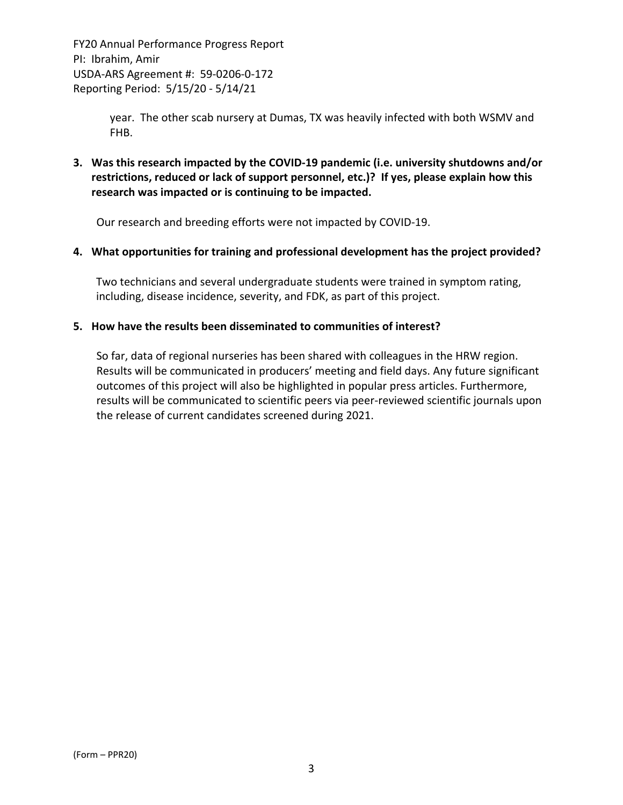> year. The other scab nursery at Dumas, TX was heavily infected with both WSMV and FHB.

**3. Was this research impacted by the COVID‐19 pandemic (i.e. university shutdowns and/or restrictions, reduced or lack of support personnel, etc.)? If yes, please explain how this research was impacted or is continuing to be impacted.**

Our research and breeding efforts were not impacted by COVID‐19.

#### **4. What opportunities for training and professional development has the project provided?**

Two technicians and several undergraduate students were trained in symptom rating, including, disease incidence, severity, and FDK, as part of this project.

#### **5. How have the results been disseminated to communities of interest?**

So far, data of regional nurseries has been shared with colleagues in the HRW region. Results will be communicated in producers' meeting and field days. Any future significant outcomes of this project will also be highlighted in popular press articles. Furthermore, results will be communicated to scientific peers via peer‐reviewed scientific journals upon the release of current candidates screened during 2021.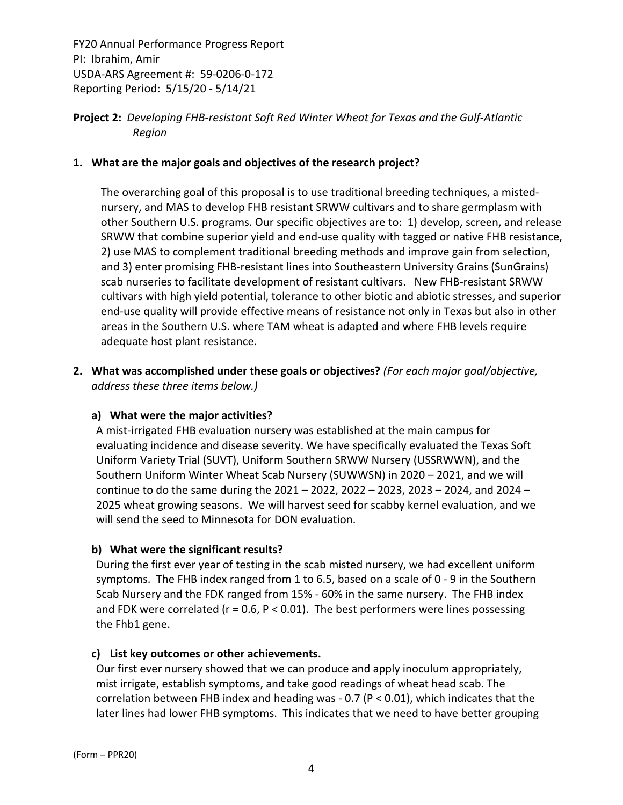## **Project 2:** *Developing FHB‐resistant Soft Red Winter Wheat for Texas and the Gulf‐Atlantic Region*

#### **1. What are the major goals and objectives of the research project?**

The overarching goal of this proposal is to use traditional breeding techniques, a misted‐ nursery, and MAS to develop FHB resistant SRWW cultivars and to share germplasm with other Southern U.S. programs. Our specific objectives are to: 1) develop, screen, and release SRWW that combine superior yield and end‐use quality with tagged or native FHB resistance, 2) use MAS to complement traditional breeding methods and improve gain from selection, and 3) enter promising FHB-resistant lines into Southeastern University Grains (SunGrains) scab nurseries to facilitate development of resistant cultivars. New FHB-resistant SRWW cultivars with high yield potential, tolerance to other biotic and abiotic stresses, and superior end‐use quality will provide effective means of resistance not only in Texas but also in other areas in the Southern U.S. where TAM wheat is adapted and where FHB levels require adequate host plant resistance.

**2. What was accomplished under these goals or objectives?** *(For each major goal/objective, address these three items below.)*

## **a) What were the major activities?**

A mist‐irrigated FHB evaluation nursery was established at the main campus for evaluating incidence and disease severity. We have specifically evaluated the Texas Soft Uniform Variety Trial (SUVT), Uniform Southern SRWW Nursery (USSRWWN), and the Southern Uniform Winter Wheat Scab Nursery (SUWWSN) in 2020 – 2021, and we will continue to do the same during the 2021 – 2022, 2022 – 2023, 2023 – 2024, and 2024 – 2025 wheat growing seasons. We will harvest seed for scabby kernel evaluation, and we will send the seed to Minnesota for DON evaluation.

## **b) What were the significant results?**

During the first ever year of testing in the scab misted nursery, we had excellent uniform symptoms. The FHB index ranged from 1 to 6.5, based on a scale of 0 - 9 in the Southern Scab Nursery and the FDK ranged from 15% ‐ 60% in the same nursery. The FHB index and FDK were correlated ( $r = 0.6$ ,  $P < 0.01$ ). The best performers were lines possessing the Fhb1 gene.

#### **c) List key outcomes or other achievements.**

Our first ever nursery showed that we can produce and apply inoculum appropriately, mist irrigate, establish symptoms, and take good readings of wheat head scab. The correlation between FHB index and heading was ‐ 0.7 (P < 0.01), which indicates that the later lines had lower FHB symptoms. This indicates that we need to have better grouping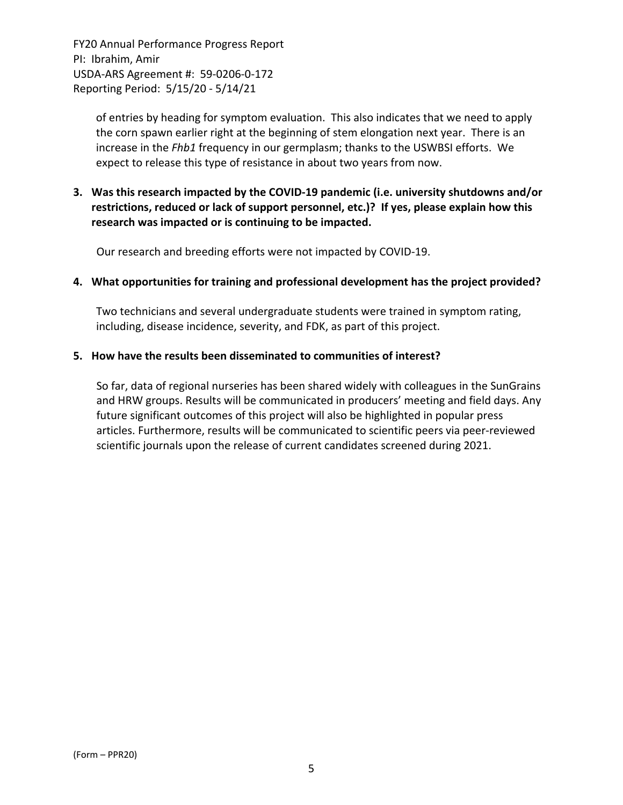> of entries by heading for symptom evaluation. This also indicates that we need to apply the corn spawn earlier right at the beginning of stem elongation next year. There is an increase in the *Fhb1* frequency in our germplasm; thanks to the USWBSI efforts. We expect to release this type of resistance in about two years from now.

## **3. Was this research impacted by the COVID‐19 pandemic (i.e. university shutdowns and/or restrictions, reduced or lack of support personnel, etc.)? If yes, please explain how this research was impacted or is continuing to be impacted.**

Our research and breeding efforts were not impacted by COVID‐19.

#### **4. What opportunities for training and professional development has the project provided?**

Two technicians and several undergraduate students were trained in symptom rating, including, disease incidence, severity, and FDK, as part of this project.

#### **5. How have the results been disseminated to communities of interest?**

So far, data of regional nurseries has been shared widely with colleagues in the SunGrains and HRW groups. Results will be communicated in producers' meeting and field days. Any future significant outcomes of this project will also be highlighted in popular press articles. Furthermore, results will be communicated to scientific peers via peer‐reviewed scientific journals upon the release of current candidates screened during 2021.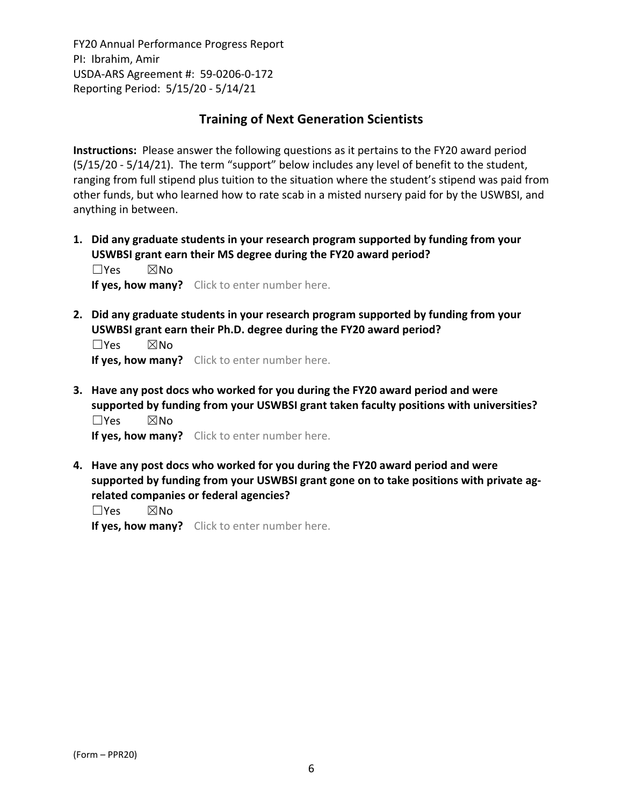## **Training of Next Generation Scientists**

**Instructions:** Please answer the following questions as it pertains to the FY20 award period (5/15/20 ‐ 5/14/21). The term "support" below includes any level of benefit to the student, ranging from full stipend plus tuition to the situation where the student's stipend was paid from other funds, but who learned how to rate scab in a misted nursery paid for by the USWBSI, and anything in between.

**1. Did any graduate students in your research program supported by funding from your USWBSI grant earn their MS degree during the FY20 award period?** ☐Yes ☒No

**If yes, how many?** Click to enter number here.

**2. Did any graduate students in your research program supported by funding from your USWBSI grant earn their Ph.D. degree during the FY20 award period?**

 $\square$ Yes  $\square$ No **If yes, how many?** Click to enter number here.

**3. Have any post docs who worked for you during the FY20 award period and were supported by funding from your USWBSI grant taken faculty positions with universities?** ☐Yes ☒No

**If yes, how many?** Click to enter number here.

**4. Have any post docs who worked for you during the FY20 award period and were supported by funding from your USWBSI grant gone on to take positions with private ag‐ related companies or federal agencies?**

☐Yes ☒No

**If yes, how many?** Click to enter number here.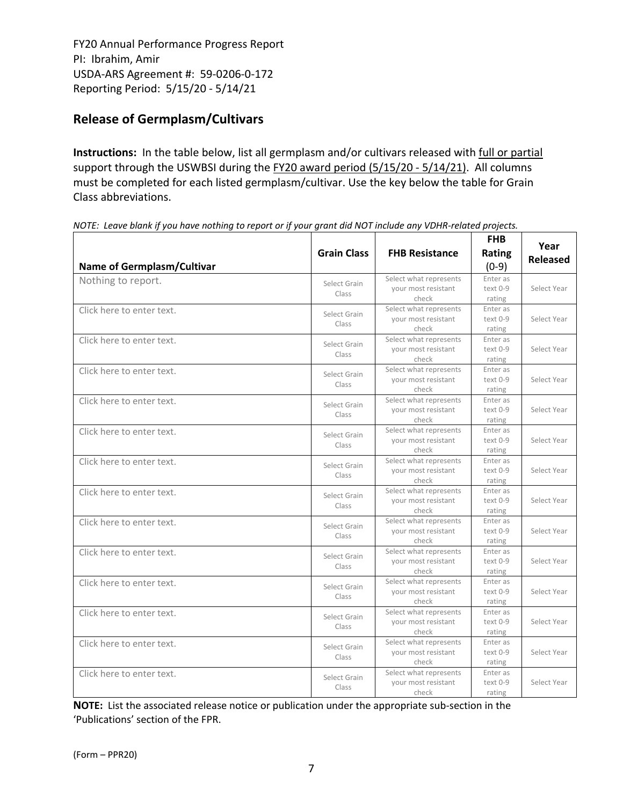# **Release of Germplasm/Cultivars**

**Instructions:** In the table below, list all germplasm and/or cultivars released with full or partial support through the USWBSI during the FY20 award period (5/15/20 - 5/14/21). All columns must be completed for each listed germplasm/cultivar. Use the key below the table for Grain Class abbreviations. 

| <b>Name of Germplasm/Cultivar</b> | <b>Grain Class</b>    | <b>FHB Resistance</b>                                  | <b>FHB</b><br>Rating<br>$(0-9)$ | Year<br><b>Released</b> |
|-----------------------------------|-----------------------|--------------------------------------------------------|---------------------------------|-------------------------|
| Nothing to report.                | Select Grain<br>Class | Select what represents<br>your most resistant<br>check | Enter as<br>text 0-9<br>rating  | Select Year             |
| Click here to enter text.         | Select Grain<br>Class | Select what represents<br>your most resistant<br>check | Enter as<br>text 0-9<br>rating  | Select Year             |
| Click here to enter text.         | Select Grain<br>Class | Select what represents<br>your most resistant<br>check | Enter as<br>text 0-9<br>rating  | Select Year             |
| Click here to enter text.         | Select Grain<br>Class | Select what represents<br>your most resistant<br>check | Enter as<br>text 0-9<br>rating  | Select Year             |
| Click here to enter text.         | Select Grain<br>Class | Select what represents<br>your most resistant<br>check | Enter as<br>text 0-9<br>rating  | Select Year             |
| Click here to enter text.         | Select Grain<br>Class | Select what represents<br>your most resistant<br>check | Enter as<br>text 0-9<br>rating  | Select Year             |
| Click here to enter text.         | Select Grain<br>Class | Select what represents<br>your most resistant<br>check | Enter as<br>text 0-9<br>rating  | Select Year             |
| Click here to enter text.         | Select Grain<br>Class | Select what represents<br>your most resistant<br>check | Enter as<br>text 0-9<br>rating  | Select Year             |
| Click here to enter text.         | Select Grain<br>Class | Select what represents<br>your most resistant<br>check | Enter as<br>text 0-9<br>rating  | Select Year             |
| Click here to enter text.         | Select Grain<br>Class | Select what represents<br>your most resistant<br>check | Enter as<br>text 0-9<br>rating  | Select Year             |
| Click here to enter text.         | Select Grain<br>Class | Select what represents<br>your most resistant<br>check | Enter as<br>text 0-9<br>rating  | Select Year             |
| Click here to enter text.         | Select Grain<br>Class | Select what represents<br>your most resistant<br>check | Enter as<br>text 0-9<br>rating  | Select Year             |
| Click here to enter text.         | Select Grain<br>Class | Select what represents<br>your most resistant<br>check | Enter as<br>text 0-9<br>rating  | Select Year             |
| Click here to enter text.         | Select Grain<br>Class | Select what represents<br>your most resistant<br>check | Enter as<br>text 0-9<br>rating  | Select Year             |

NOTE: Leave blank if you have nothing to report or if your grant did NOT include any VDHR-related projects.

**NOTE:** List the associated release notice or publication under the appropriate sub-section in the 'Publications' section of the FPR.